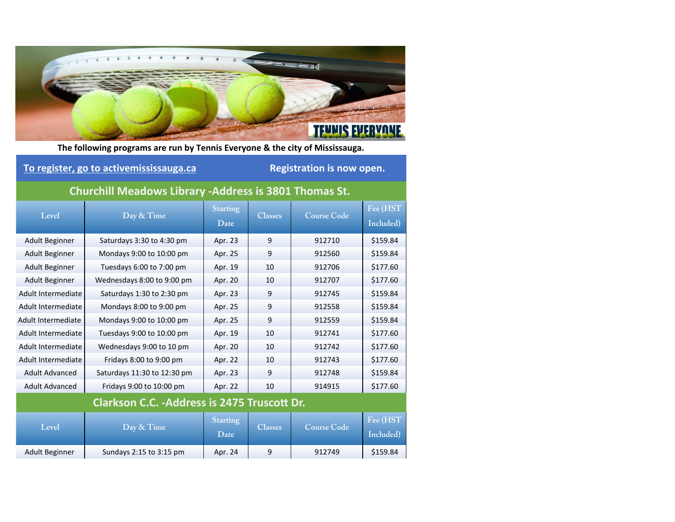

**The following programs are run by Tennis Everyone & the city of Mississauga.**

## **To register, go to activemississauga.ca Registration is now open.**

## **Churchill Meadows Library ‐Address is 3801 Thomas St.**

| Level                                               | Day & Time                  | <b>Starting</b><br>Date | <b>Classes</b> | <b>Course Code</b> | Fee (HST<br>Included) |  |  |
|-----------------------------------------------------|-----------------------------|-------------------------|----------------|--------------------|-----------------------|--|--|
| Adult Beginner                                      | Saturdays 3:30 to 4:30 pm   | Apr. 23                 | 9              | 912710             | \$159.84              |  |  |
| Adult Beginner                                      | Mondays 9:00 to 10:00 pm    | Apr. 25                 | 9              | 912560             | \$159.84              |  |  |
| Adult Beginner                                      | Tuesdays 6:00 to 7:00 pm    | Apr. 19                 | 10             | 912706             | \$177.60              |  |  |
| Adult Beginner                                      | Wednesdays 8:00 to 9:00 pm  | Apr. 20                 | 10             | 912707             | \$177.60              |  |  |
| Adult Intermediate                                  | Saturdays 1:30 to 2:30 pm   | Apr. 23                 | 9              | 912745             | \$159.84              |  |  |
| Adult Intermediate                                  | Mondays 8:00 to 9:00 pm     | Apr. 25                 | 9              | 912558             | \$159.84              |  |  |
| Adult Intermediate                                  | Mondays 9:00 to 10:00 pm    | Apr. 25                 | 9              | 912559             | \$159.84              |  |  |
| Adult Intermediate                                  | Tuesdays 9:00 to 10:00 pm   | Apr. 19                 | 10             | 912741             | \$177.60              |  |  |
| Adult Intermediate                                  | Wednesdays 9:00 to 10 pm    | Apr. 20                 | 10             | 912742             | \$177.60              |  |  |
| Adult Intermediate                                  | Fridays 8:00 to 9:00 pm     | Apr. 22                 | 10             | 912743             | \$177.60              |  |  |
| Adult Advanced                                      | Saturdays 11:30 to 12:30 pm | Apr. 23                 | 9              | 912748             | \$159.84              |  |  |
| <b>Adult Advanced</b>                               | Fridays 9:00 to 10:00 pm    | Apr. 22                 | 10             | 914915             | \$177.60              |  |  |
| <b>Clarkson C.C. - Address is 2475 Truscott Dr.</b> |                             |                         |                |                    |                       |  |  |
| Level                                               | Day & Time                  | <b>Starting</b>         | <b>Classes</b> | <b>Course Code</b> | Fee (HST              |  |  |
|                                                     |                             | Date                    |                |                    | Included)             |  |  |
| Adult Beginner                                      | Sundays 2:15 to 3:15 pm     | Apr. 24                 | 9              | 912749             | \$159.84              |  |  |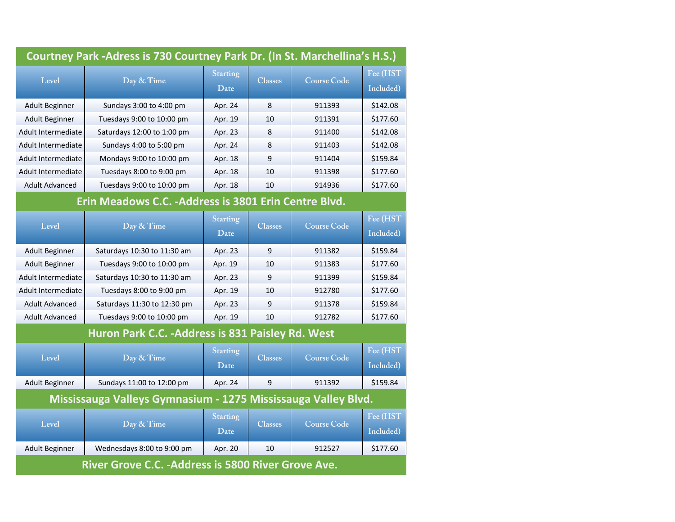| Courtney Park - Adress is 730 Courtney Park Dr. (In St. Marchellina's H.S.) |                             |                         |                |                    |                       |  |
|-----------------------------------------------------------------------------|-----------------------------|-------------------------|----------------|--------------------|-----------------------|--|
| Level                                                                       | Day & Time                  | <b>Starting</b><br>Date | <b>Classes</b> | <b>Course Code</b> | Fee (HST<br>Included) |  |
| <b>Adult Beginner</b>                                                       | Sundays 3:00 to 4:00 pm     | Apr. 24                 | 8              | 911393             | \$142.08              |  |
| <b>Adult Beginner</b>                                                       | Tuesdays 9:00 to 10:00 pm   | Apr. 19                 | 10             | 911391             | \$177.60              |  |
| Adult Intermediate                                                          | Saturdays 12:00 to 1:00 pm  | Apr. 23                 | 8              | 911400             | \$142.08              |  |
| Adult Intermediate                                                          | Sundays 4:00 to 5:00 pm     | Apr. 24                 | 8              | 911403             | \$142.08              |  |
| Adult Intermediate                                                          | Mondays 9:00 to 10:00 pm    | Apr. 18                 | 9              | 911404             | \$159.84              |  |
| Adult Intermediate                                                          | Tuesdays 8:00 to 9:00 pm    | Apr. 18                 | 10             | 911398             | \$177.60              |  |
| <b>Adult Advanced</b>                                                       | Tuesdays 9:00 to 10:00 pm   | Apr. 18                 | 10             | 914936             | \$177.60              |  |
| Erin Meadows C.C. - Address is 3801 Erin Centre Blvd.                       |                             |                         |                |                    |                       |  |
| Level                                                                       | Day & Time                  | <b>Starting</b><br>Date | <b>Classes</b> | <b>Course Code</b> | Fee (HST<br>Included) |  |
| <b>Adult Beginner</b>                                                       | Saturdays 10:30 to 11:30 am | Apr. 23                 | 9              | 911382             | \$159.84              |  |
| <b>Adult Beginner</b>                                                       | Tuesdays 9:00 to 10:00 pm   | Apr. 19                 | 10             | 911383             | \$177.60              |  |
| Adult Intermediate                                                          | Saturdays 10:30 to 11:30 am | Apr. 23                 | 9              | 911399             | \$159.84              |  |
| Adult Intermediate                                                          | Tuesdays 8:00 to 9:00 pm    | Apr. 19                 | 10             | 912780             | \$177.60              |  |
| <b>Adult Advanced</b>                                                       | Saturdays 11:30 to 12:30 pm | Apr. 23                 | 9              | 911378             | \$159.84              |  |
| <b>Adult Advanced</b>                                                       | Tuesdays 9:00 to 10:00 pm   | Apr. 19                 | 10             | 912782             | \$177.60              |  |
| Huron Park C.C. - Address is 831 Paisley Rd. West                           |                             |                         |                |                    |                       |  |
| Level                                                                       | Day & Time                  | Starting<br>Date        | <b>Classes</b> | <b>Course Code</b> | Fee (HST<br>Included) |  |
| <b>Adult Beginner</b>                                                       | Sundays 11:00 to 12:00 pm   | Apr. 24                 | 9              | 911392             | \$159.84              |  |
| Mississauga Valleys Gymnasium - 1275 Mississauga Valley Blvd.               |                             |                         |                |                    |                       |  |
| Level                                                                       | Day & Time                  | <b>Starting</b><br>Date | <b>Classes</b> | <b>Course Code</b> | Fee (HST<br>Included) |  |
| <b>Adult Beginner</b>                                                       | Wednesdays 8:00 to 9:00 pm  | Apr. 20                 | 10             | 912527             | \$177.60              |  |
| River Grove C.C. - Address is 5800 River Grove Ave.                         |                             |                         |                |                    |                       |  |